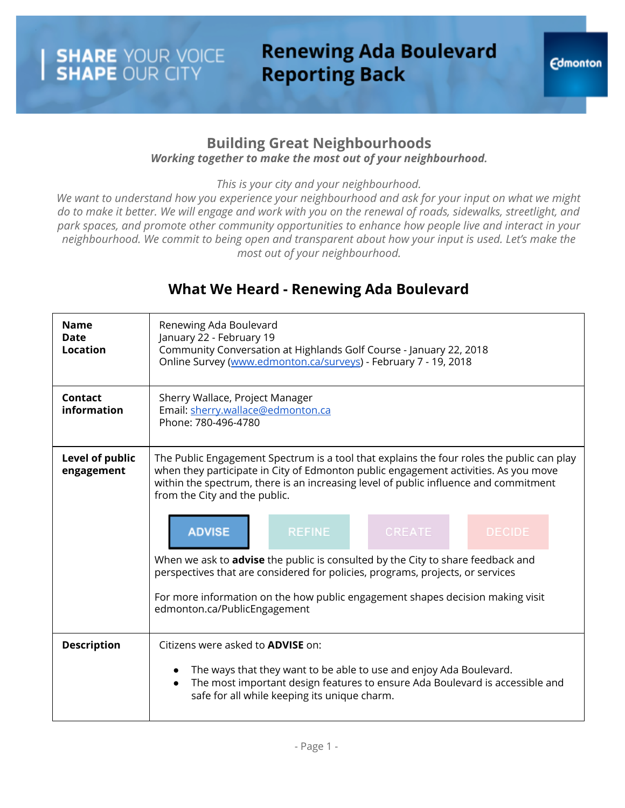## **Renewing Ada Boulevard Reporting Back**

#### **Building Great Neighbourhoods** *Working together to make the most out of your neighbourhood.*

*This is your city and your neighbourhood.*

We want to understand how you experience your neighbourhood and ask for your input on what we might do to make it better. We will engage and work with you on the renewal of roads, sidewalks, streetlight, and *park spaces, and promote other community opportunities to enhance how people live and interact in your neighbourhood. We commit to being open and transparent about how your input is used. Let's make the most out of your neighbourhood.*

### **What We Heard - Renewing Ada Boulevard**

| <b>Name</b><br><b>Date</b><br>Location | Renewing Ada Boulevard<br>January 22 - February 19<br>Community Conversation at Highlands Golf Course - January 22, 2018<br>Online Survey (www.edmonton.ca/surveys) - February 7 - 19, 2018                                                                                                                                                                                                                                                                                                                                                                                                                                                                                 |  |  |  |
|----------------------------------------|-----------------------------------------------------------------------------------------------------------------------------------------------------------------------------------------------------------------------------------------------------------------------------------------------------------------------------------------------------------------------------------------------------------------------------------------------------------------------------------------------------------------------------------------------------------------------------------------------------------------------------------------------------------------------------|--|--|--|
| Contact<br>information                 | Sherry Wallace, Project Manager<br>Email: sherry.wallace@edmonton.ca<br>Phone: 780-496-4780                                                                                                                                                                                                                                                                                                                                                                                                                                                                                                                                                                                 |  |  |  |
| Level of public<br>engagement          | The Public Engagement Spectrum is a tool that explains the four roles the public can play<br>when they participate in City of Edmonton public engagement activities. As you move<br>within the spectrum, there is an increasing level of public influence and commitment<br>from the City and the public.<br><b>ADVISE</b><br><b>REFINE</b><br><b>CREATE</b><br><b>DECIDE</b><br>When we ask to <b>advise</b> the public is consulted by the City to share feedback and<br>perspectives that are considered for policies, programs, projects, or services<br>For more information on the how public engagement shapes decision making visit<br>edmonton.ca/PublicEngagement |  |  |  |
| <b>Description</b>                     | Citizens were asked to <b>ADVISE</b> on:<br>The ways that they want to be able to use and enjoy Ada Boulevard.<br>The most important design features to ensure Ada Boulevard is accessible and<br>safe for all while keeping its unique charm.                                                                                                                                                                                                                                                                                                                                                                                                                              |  |  |  |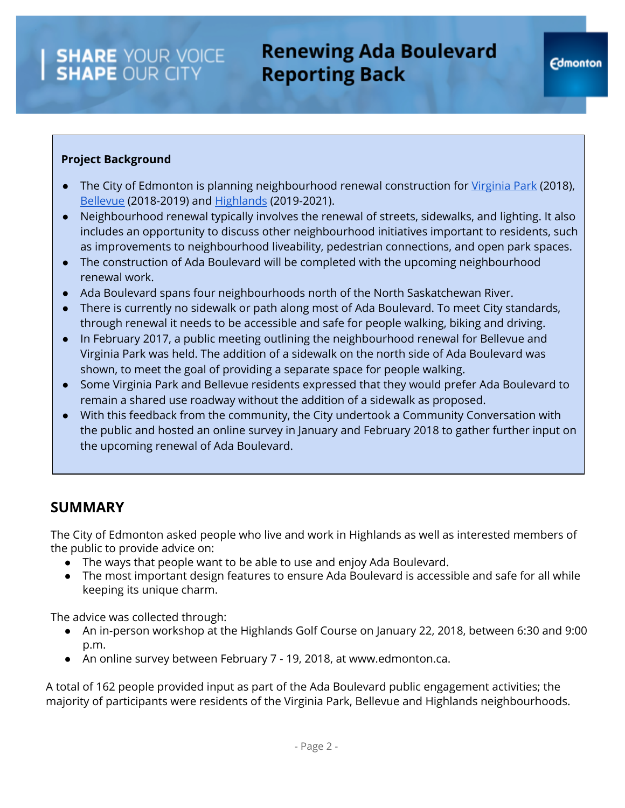#### **Project Background**

- The City of Edmonton is planning neighbourhood renewal construction for [Virginia](https://www.edmonton.ca/transportation/on_your_streets/bellevue-virginia-park-neighbourhood-renewal.aspx) Park (2018), **[Bellevue](https://www.edmonton.ca/transportation/on_your_streets/bellevue-virginia-park-neighbourhood-renewal.aspx) (2018-2019) and [Highlands](http://www.edmonton.ca/BuildingHighlands) (2019-2021).**
- Neighbourhood renewal typically involves the renewal of streets, sidewalks, and lighting. It also includes an opportunity to discuss other neighbourhood initiatives important to residents, such as improvements to neighbourhood liveability, pedestrian connections, and open park spaces.
- The construction of Ada Boulevard will be completed with the upcoming neighbourhood renewal work.
- Ada Boulevard spans four neighbourhoods north of the North Saskatchewan River.
- There is currently no sidewalk or path along most of Ada Boulevard. To meet City standards, through renewal it needs to be accessible and safe for people walking, biking and driving.
- In February 2017, a public meeting outlining the neighbourhood renewal for Bellevue and Virginia Park was held. The addition of a sidewalk on the north side of Ada Boulevard was shown, to meet the goal of providing a separate space for people walking.
- Some Virginia Park and Bellevue residents expressed that they would prefer Ada Boulevard to remain a shared use roadway without the addition of a sidewalk as proposed.
- With this feedback from the community, the City undertook a Community Conversation with the public and hosted an online survey in January and February 2018 to gather further input on the upcoming renewal of Ada Boulevard.

### **SUMMARY**

The City of Edmonton asked people who live and work in Highlands as well as interested members of the public to provide advice on:

- The ways that people want to be able to use and enjoy Ada Boulevard.
- The most important design features to ensure Ada Boulevard is accessible and safe for all while keeping its unique charm.

The advice was collected through:

- An in-person workshop at the Highlands Golf Course on January 22, 2018, between 6:30 and 9:00 p.m.
- An online survey between February 7 19, 2018, at www.edmonton.ca.

A total of 162 people provided input as part of the Ada Boulevard public engagement activities; the majority of participants were residents of the Virginia Park, Bellevue and Highlands neighbourhoods.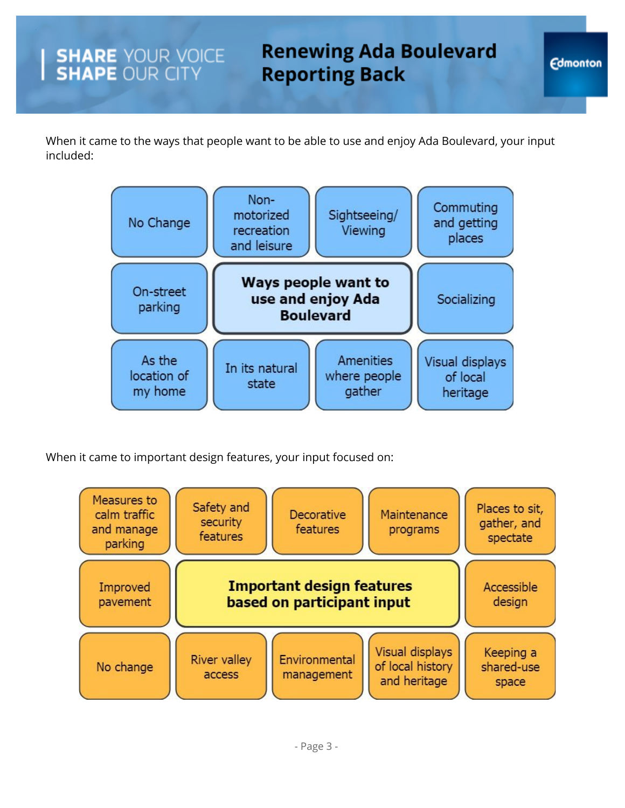When it came to the ways that people want to be able to use and enjoy Ada Boulevard, your input included:



When it came to important design features, your input focused on:

SHARE YOUR VOICE

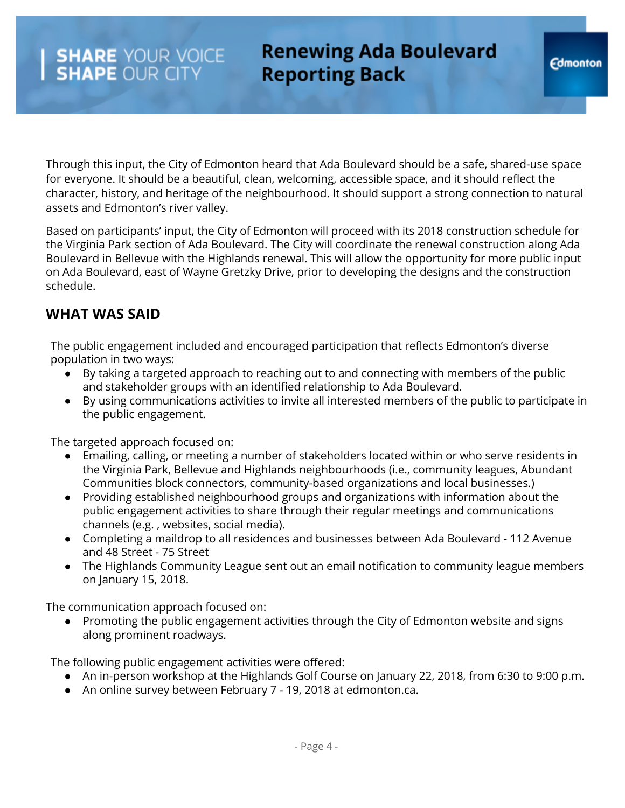## **Renewing Ada Boulevard Reporting Back**

Through this input, the City of Edmonton heard that Ada Boulevard should be a safe, shared-use space for everyone. It should be a beautiful, clean, welcoming, accessible space, and it should reflect the character, history, and heritage of the neighbourhood. It should support a strong connection to natural assets and Edmonton's river valley.

Based on participants' input, the City of Edmonton will proceed with its 2018 construction schedule for the Virginia Park section of Ada Boulevard. The City will coordinate the renewal construction along Ada Boulevard in Bellevue with the Highlands renewal. This will allow the opportunity for more public input on Ada Boulevard, east of Wayne Gretzky Drive, prior to developing the designs and the construction schedule.

### **WHAT WAS SAID**

The public engagement included and encouraged participation that reflects Edmonton's diverse population in two ways:

- By taking a targeted approach to reaching out to and connecting with members of the public and stakeholder groups with an identified relationship to Ada Boulevard.
- By using communications activities to invite all interested members of the public to participate in the public engagement.

The targeted approach focused on:

- Emailing, calling, or meeting a number of stakeholders located within or who serve residents in the Virginia Park, Bellevue and Highlands neighbourhoods (i.e., community leagues, Abundant Communities block connectors, community-based organizations and local businesses.)
- Providing established neighbourhood groups and organizations with information about the public engagement activities to share through their regular meetings and communications channels (e.g. , websites, social media).
- Completing a maildrop to all residences and businesses between Ada Boulevard 112 Avenue and 48 Street - 75 Street
- The Highlands Community League sent out an email notification to community league members on January 15, 2018.

The communication approach focused on:

● Promoting the public engagement activities through the City of Edmonton website and signs along prominent roadways.

The following public engagement activities were offered:

- An in-person workshop at the Highlands Golf Course on January 22, 2018, from 6:30 to 9:00 p.m.
- An online survey between February 7 19, 2018 at edmonton.ca.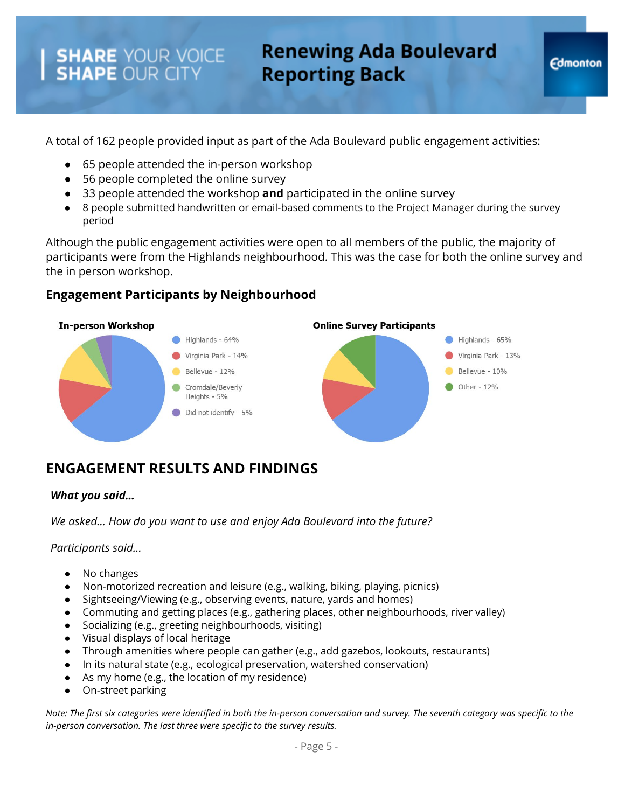# **Renewing Ada Boulevard Reporting Back**

A total of 162 people provided input as part of the Ada Boulevard public engagement activities:

- 65 people attended the in-person workshop
- 56 people completed the online survey
- 33 people attended the workshop **and** participated in the online survey
- 8 people submitted handwritten or email-based comments to the Project Manager during the survey period

Although the public engagement activities were open to all members of the public, the majority of participants were from the Highlands neighbourhood. This was the case for both the online survey and the in person workshop.

#### **Engagement Participants by Neighbourhood**



### **ENGAGEMENT RESULTS AND FINDINGS**

#### *What you said…*

*We asked… How do you want to use and enjoy Ada Boulevard into the future?*

*Participants said…*

- No changes
- Non-motorized recreation and leisure (e.g., walking, biking, playing, picnics)
- Sightseeing/Viewing (e.g., observing events, nature, yards and homes)
- Commuting and getting places (e.g., gathering places, other neighbourhoods, river valley)
- Socializing (e.g., greeting neighbourhoods, visiting)
- Visual displays of local heritage
- Through amenities where people can gather (e.g., add gazebos, lookouts, restaurants)
- In its natural state (e.g., ecological preservation, watershed conservation)
- As my home (e.g., the location of my residence)
- On-street parking

*Note: The first six categories were identified in both the in-person conversation and survey. The seventh category was specific to the in-person conversation. The last three were specific to the survey results.*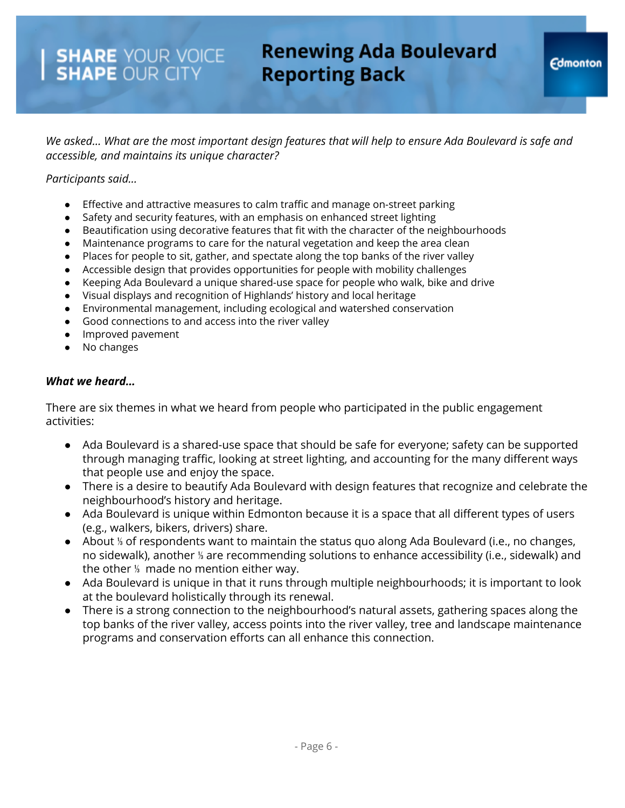## **Renewing Ada Boulevard Reporting Back**

We asked... What are the most important design features that will help to ensure Ada Boulevard is safe and *accessible, and maintains its unique character?*

#### *Participants said…*

- Effective and attractive measures to calm traffic and manage on-street parking
- Safety and security features, with an emphasis on enhanced street lighting
- Beautification using decorative features that fit with the character of the neighbourhoods
- Maintenance programs to care for the natural vegetation and keep the area clean
- Places for people to sit, gather, and spectate along the top banks of the river valley
- Accessible design that provides opportunities for people with mobility challenges
- Keeping Ada Boulevard a unique shared-use space for people who walk, bike and drive
- Visual displays and recognition of Highlands' history and local heritage
- Environmental management, including ecological and watershed conservation
- Good connections to and access into the river valley
- Improved pavement
- No changes

#### *What we heard…*

There are six themes in what we heard from people who participated in the public engagement activities:

- Ada Boulevard is a shared-use space that should be safe for everyone; safety can be supported through managing traffic, looking at street lighting, and accounting for the many different ways that people use and enjoy the space.
- There is a desire to beautify Ada Boulevard with design features that recognize and celebrate the neighbourhood's history and heritage.
- Ada Boulevard is unique within Edmonton because it is a space that all different types of users (e.g., walkers, bikers, drivers) share.
- About <sup>%</sup> of respondents want to maintain the status quo along Ada Boulevard (i.e., no changes, no sidewalk), another ⅓ are recommending solutions to enhance accessibility (i.e., sidewalk) and the other ⅓ made no mention either way.
- Ada Boulevard is unique in that it runs through multiple neighbourhoods; it is important to look at the boulevard holistically through its renewal.
- There is a strong connection to the neighbourhood's natural assets, gathering spaces along the top banks of the river valley, access points into the river valley, tree and landscape maintenance programs and conservation efforts can all enhance this connection.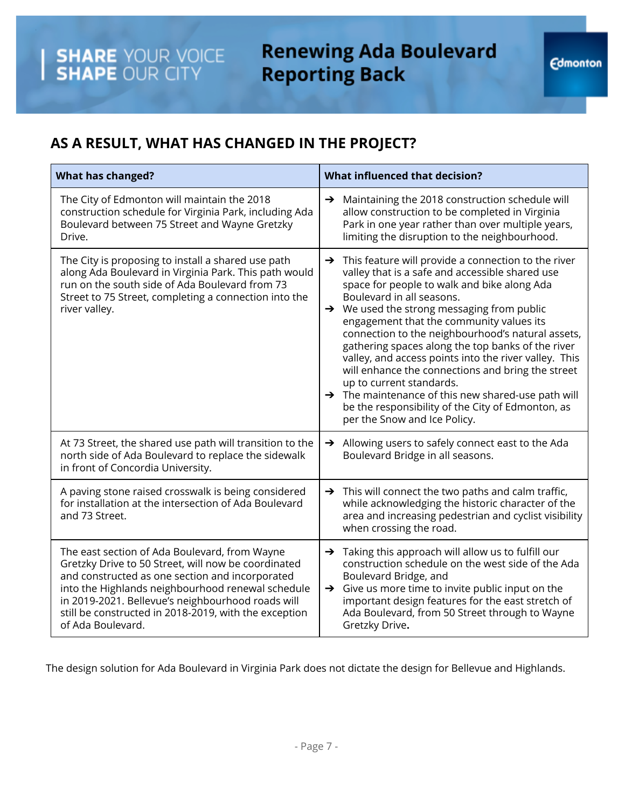# **Renewing Ada Boulevard Reporting Back**

## **AS A RESULT, WHAT HAS CHANGED IN THE PROJECT?**

**SHARE** YOUR VOICE<br>**SHAPE** OUR CITY

| <b>What has changed?</b>                                                                                                                                                                                                                                                                                                                        | <b>What influenced that decision?</b>                                                                                                                                                                                                                                                                                                                                                                                                                                                                                                                                                                                                                                                                                |  |  |
|-------------------------------------------------------------------------------------------------------------------------------------------------------------------------------------------------------------------------------------------------------------------------------------------------------------------------------------------------|----------------------------------------------------------------------------------------------------------------------------------------------------------------------------------------------------------------------------------------------------------------------------------------------------------------------------------------------------------------------------------------------------------------------------------------------------------------------------------------------------------------------------------------------------------------------------------------------------------------------------------------------------------------------------------------------------------------------|--|--|
| The City of Edmonton will maintain the 2018<br>construction schedule for Virginia Park, including Ada<br>Boulevard between 75 Street and Wayne Gretzky<br>Drive.                                                                                                                                                                                | > Maintaining the 2018 construction schedule will<br>allow construction to be completed in Virginia<br>Park in one year rather than over multiple years,<br>limiting the disruption to the neighbourhood.                                                                                                                                                                                                                                                                                                                                                                                                                                                                                                            |  |  |
| The City is proposing to install a shared use path<br>along Ada Boulevard in Virginia Park. This path would<br>run on the south side of Ada Boulevard from 73<br>Street to 75 Street, completing a connection into the<br>river valley.                                                                                                         | This feature will provide a connection to the river<br>$\rightarrow$<br>valley that is a safe and accessible shared use<br>space for people to walk and bike along Ada<br>Boulevard in all seasons.<br>$\rightarrow$ We used the strong messaging from public<br>engagement that the community values its<br>connection to the neighbourhood's natural assets,<br>gathering spaces along the top banks of the river<br>valley, and access points into the river valley. This<br>will enhance the connections and bring the street<br>up to current standards.<br>$\rightarrow$ The maintenance of this new shared-use path will<br>be the responsibility of the City of Edmonton, as<br>per the Snow and Ice Policy. |  |  |
| At 73 Street, the shared use path will transition to the<br>north side of Ada Boulevard to replace the sidewalk<br>in front of Concordia University.                                                                                                                                                                                            | Allowing users to safely connect east to the Ada<br>Boulevard Bridge in all seasons.                                                                                                                                                                                                                                                                                                                                                                                                                                                                                                                                                                                                                                 |  |  |
| A paving stone raised crosswalk is being considered<br>for installation at the intersection of Ada Boulevard<br>and 73 Street.                                                                                                                                                                                                                  | $\rightarrow$ This will connect the two paths and calm traffic,<br>while acknowledging the historic character of the<br>area and increasing pedestrian and cyclist visibility<br>when crossing the road.                                                                                                                                                                                                                                                                                                                                                                                                                                                                                                             |  |  |
| The east section of Ada Boulevard, from Wayne<br>Gretzky Drive to 50 Street, will now be coordinated<br>and constructed as one section and incorporated<br>into the Highlands neighbourhood renewal schedule<br>in 2019-2021. Bellevue's neighbourhood roads will<br>still be constructed in 2018-2019, with the exception<br>of Ada Boulevard. | $\rightarrow$ Taking this approach will allow us to fulfill our<br>construction schedule on the west side of the Ada<br>Boulevard Bridge, and<br>Give us more time to invite public input on the<br>$\rightarrow$<br>important design features for the east stretch of<br>Ada Boulevard, from 50 Street through to Wayne<br>Gretzky Drive.                                                                                                                                                                                                                                                                                                                                                                           |  |  |

The design solution for Ada Boulevard in Virginia Park does not dictate the design for Bellevue and Highlands.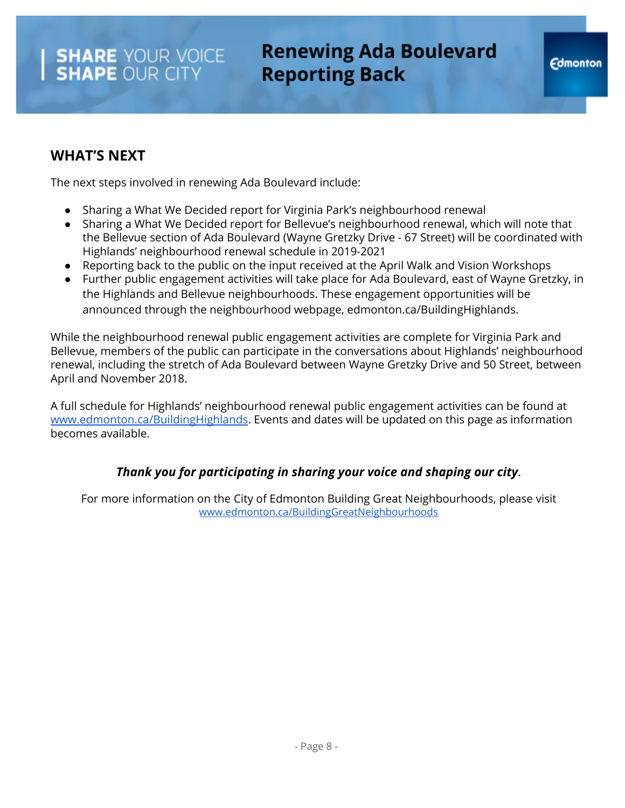### **WHAT'S NEXT**

The next steps involved in renewing Ada Boulevard include:

- Sharing a What We Decided report for Virginia Park's neighbourhood renewal
- Sharing a What We Decided report for Bellevue's neighbourhood renewal, which will note that the Bellevue section of Ada Boulevard (Wayne Gretzky Drive - 67 Street) will be coordinated with Highlands' neighbourhood renewal schedule in 2019-2021
- Reporting back to the public on the input received at the April Walk and Vision Workshops
- Further public engagement activities will take place for Ada Boulevard, east of Wayne Gretzky, in the Highlands and Bellevue neighbourhoods. These engagement opportunities will be announced through the neighbourhood webpage, edmonton.ca/BuildingHighlands.

While the neighbourhood renewal public engagement activities are complete for Virginia Park and Bellevue, members of the public can participate in the conversations about Highlands' neighbourhood renewal, including the stretch of Ada Boulevard between Wayne Gretzky Drive and 50 Street, between April and November 2018.

A full schedule for Highlands' neighbourhood renewal public engagement activities can be found at [www.edmonton.ca/BuildingHighlands](http://www.edmonton.ca/BuildingHighlands). Events and dates will be updated on this page as information becomes available.

#### *Thank you for participating in sharing your voice and shaping our city***.**

For more information on the City of Edmonton Building Great Neighbourhoods, please visit [www.edmonton.ca/BuildingGreatNeighbourhoods](https://www.edmonton.ca/residential_neighbourhoods/building-great-neighbourhoods.aspx)